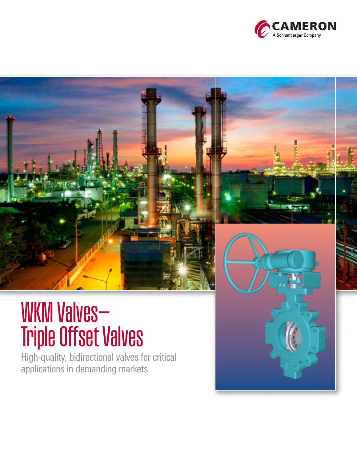



# WKM Valves— Triple Offset Valves

High-quality, bidirectional valves for critical applications in demanding markets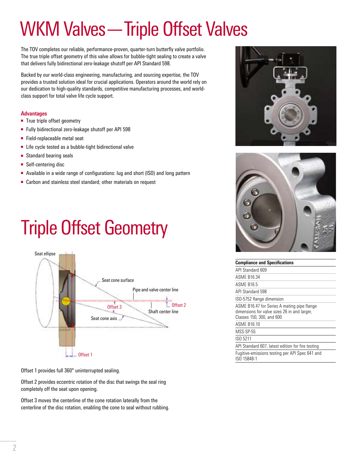# WKM Valves—Triple Offset Valves

The TOV completes our reliable, performance-proven, quarter-turn butterfly valve portfolio. The true triple offset geometry of this valve allows for bubble-tight sealing to create a valve that delivers fully bidirectional zero-leakage shutoff per API Standard 598.

Backed by our world-class engineering, manufacturing, and sourcing expertise, the TOV provides a trusted solution ideal for crucial applications. Operators around the world rely on our dedication to high-quality standards, competitive manufacturing processes, and worldclass support for total valve life cycle support.

### **Advantages**

- True triple offset geometry
- Fully bidirectional zero-leakage shutoff per API 598
- Field-replaceable metal seat
- Life cycle tested as a bubble-tight bidirectional valve
- Standard bearing seals
- Self-centering disc
- Available in a wide range of configurations: lug and short (ISO) and long pattern
- Carbon and stainless steel standard; other materials on request

# Triple Offset Geometry



Offset 1 provides full 360° uninterrupted sealing.

Offset 2 provides eccentric rotation of the disc that swings the seal ring completely off the seat upon opening.

Offset 3 moves the centerline of the cone rotation laterally from the centerline of the disc rotation, enabling the cone to seal without rubbing.





| <b>Compliance and Specifications</b>                                                                                     |
|--------------------------------------------------------------------------------------------------------------------------|
| API Standard 609                                                                                                         |
| ASME R16 34                                                                                                              |
| ASME B16.5                                                                                                               |
| API Standard 598                                                                                                         |
| ISO-5752 flange dimension                                                                                                |
| ASME B16.47 for Series A mating pipe flange<br>dimensions for valve sizes 26 in and larger,<br>Classes 150, 300, and 600 |
| <b>ASMF R16 10</b>                                                                                                       |
| MSS-SP-55                                                                                                                |
| ISO 5211                                                                                                                 |
| API Standard 607, latest edition for fire testing                                                                        |
| Fugitive-emissions testing per API Spec 641 and<br>ISO 15848-1                                                           |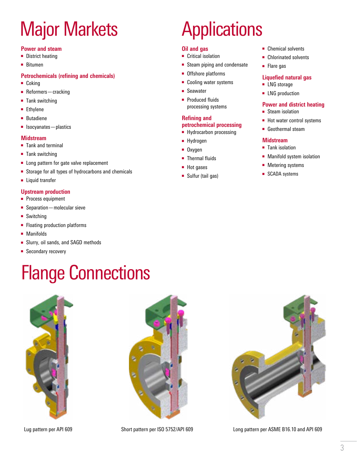# Major Markets

### **Power and steam**

- District heating
- Bitumen

### **Petrochemicals (refining and chemicals)**

- Coking
- Reformers cracking
- Tank switching
- Ethylene
- Butadiene
- Isocyanates plastics

### **Midstream**

- Tank and terminal
- Tank switching
- Long pattern for gate valve replacement
- Storage for all types of hydrocarbons and chemicals
- Liquid transfer

#### **Upstream production**

- Process equipment
- Separation molecular sieve
- Switching
- Floating production platforms
- Manifolds
- Slurry, oil sands, and SAGD methods
- Secondary recovery

### Flange Connections





### **Applications**

#### **Oil and gas**

- Critical isolation
- Steam piping and condensate
- Offshore platforms
- Cooling water systems
- Seawater
- Produced fluids processing systems

### **Refining and petrochemical processing**

### ■ Hydrocarbon processing

- Hydrogen
- Oxygen
- Thermal fluids
- Hot gases
- Sulfur (tail gas)
- Chemical solvents
- Chlorinated solvents
- Flare gas

### **Liquefied natural gas**

- LNG storage ■ LNG production
- **Power and district heating**
- Steam isolation
- Hot water control systems
- Geothermal steam

#### **Midstream**

- Tank isolation
- Manifold system isolation
- Metering systems
- SCADA systems



Lug pattern per API 609 Short pattern per ISO 5752/API 609 Long pattern per ASME B16.10 and API 609